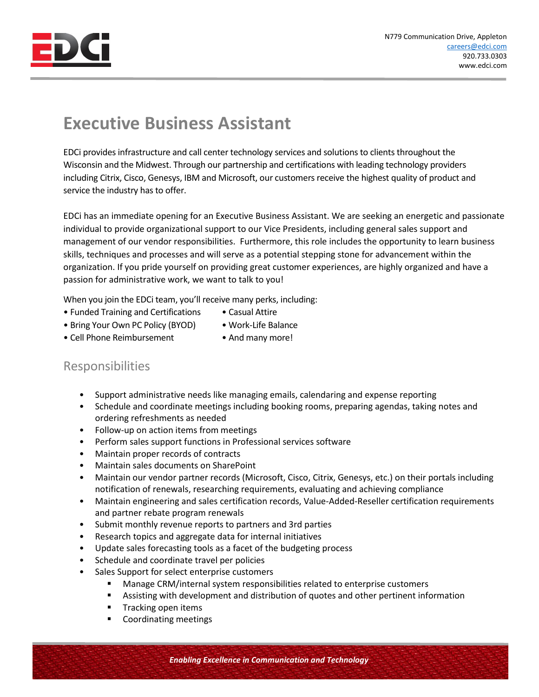

## **Executive Business Assistant**

EDCi provides infrastructure and call center technology services and solutions to clients throughout the Wisconsin and the Midwest. Through our partnership and certifications with leading technology providers including Citrix, Cisco, Genesys, IBM and Microsoft, our customers receive the highest quality of product and service the industry has to offer.

EDCi has an immediate opening for an Executive Business Assistant. We are seeking an energetic and passionate individual to provide organizational support to our Vice Presidents, including general sales support and management of our vendor responsibilities. Furthermore, this role includes the opportunity to learn business skills, techniques and processes and will serve as a potential stepping stone for advancement within the organization. If you pride yourself on providing great customer experiences, are highly organized and have a passion for administrative work, we want to talk to you!

When you join the EDCi team, you'll receive many perks, including:

- Funded Training and Certifications Casual Attire
- Bring Your Own PC Policy (BYOD) Work-Life Balance
- Cell Phone Reimbursement And many more!
- 

## Responsibilities

- Support administrative needs like managing emails, calendaring and expense reporting
- Schedule and coordinate meetings including booking rooms, preparing agendas, taking notes and ordering refreshments as needed
- Follow-up on action items from meetings
- Perform sales support functions in Professional services software
- Maintain proper records of contracts
- Maintain sales documents on SharePoint
- Maintain our vendor partner records (Microsoft, Cisco, Citrix, Genesys, etc.) on their portals including notification of renewals, researching requirements, evaluating and achieving compliance
- Maintain engineering and sales certification records, Value-Added-Reseller certification requirements and partner rebate program renewals
- Submit monthly revenue reports to partners and 3rd parties
- Research topics and aggregate data for internal initiatives
- Update sales forecasting tools as a facet of the budgeting process
- Schedule and coordinate travel per policies
- Sales Support for select enterprise customers
	- Manage CRM/internal system responsibilities related to enterprise customers
	- **EXECT** Assisting with development and distribution of quotes and other pertinent information
	- Tracking open items
	- Coordinating meetings